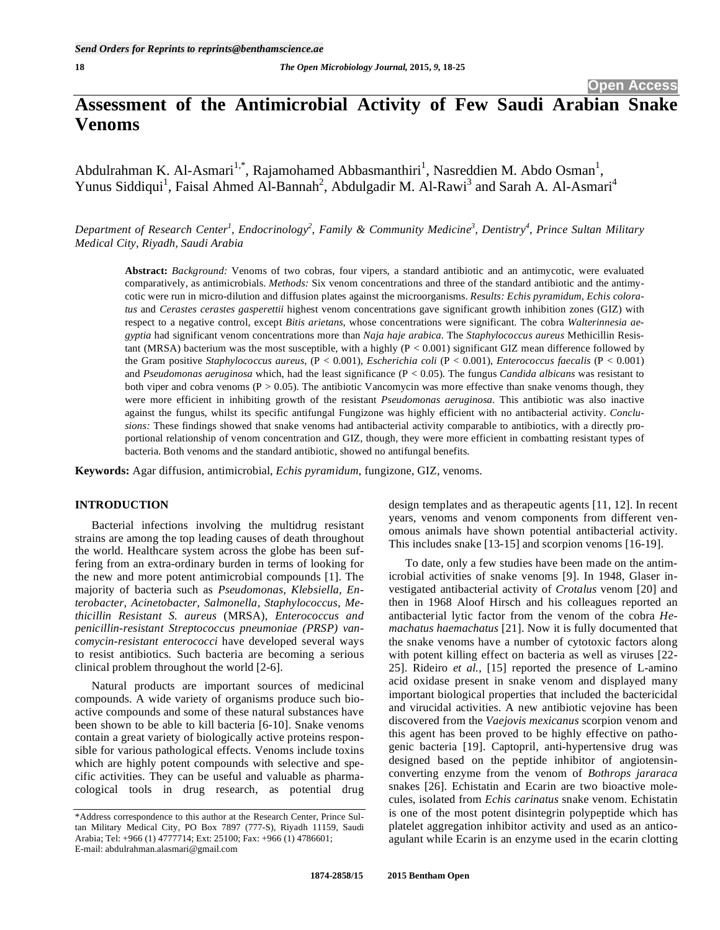# **Assessment of the Antimicrobial Activity of Few Saudi Arabian Snake Venoms**

Abdulrahman K. Al-Asmari<sup>1,\*</sup>, Rajamohamed Abbasmanthiri<sup>1</sup>, Nasreddien M. Abdo Osman<sup>1</sup>, Yunus Siddiqui<sup>1</sup>, Faisal Ahmed Al-Bannah<sup>2</sup>, Abdulgadir M. Al-Rawi<sup>3</sup> and Sarah A. Al-Asmari<sup>4</sup>

Department of Research Center<sup>1</sup>, Endocrinology<sup>2</sup>, Family & Community Medicine<sup>3</sup>, Dentistry<sup>4</sup>, Prince Sultan Military *Medical City, Riyadh, Saudi Arabia* 

**Abstract:** *Background:* Venoms of two cobras, four vipers, a standard antibiotic and an antimycotic, were evaluated comparatively, as antimicrobials. *Methods:* Six venom concentrations and three of the standard antibiotic and the antimycotic were run in micro-dilution and diffusion plates against the microorganisms. *Results: Echis pyramidum*, *Echis coloratus* and *Cerastes cerastes gasperettii* highest venom concentrations gave significant growth inhibition zones (GIZ) with respect to a negative control, except *Bitis arietans*, whose concentrations were significant. The cobra *Walterinnesia aegyptia* had significant venom concentrations more than *Naja haje arabica*. The *Staphylococcus aureus* Methicillin Resistant (MRSA) bacterium was the most susceptible, with a highly  $(P < 0.001)$  significant GIZ mean difference followed by the Gram positive *Staphylococcus aureus*, (P < 0.001), *Escherichia coli* (P < 0.001), *Enterococcus faecalis* (P < 0.001) and *Pseudomonas aeruginosa* which, had the least significance (P < 0.05). The fungus *Candida albicans* was resistant to both viper and cobra venoms  $(P > 0.05)$ . The antibiotic Vancomycin was more effective than snake venoms though, they were more efficient in inhibiting growth of the resistant *Pseudomonas aeruginosa*. This antibiotic was also inactive against the fungus, whilst its specific antifungal Fungizone was highly efficient with no antibacterial activity. *Conclusions:* These findings showed that snake venoms had antibacterial activity comparable to antibiotics, with a directly proportional relationship of venom concentration and GIZ, though, they were more efficient in combatting resistant types of bacteria. Both venoms and the standard antibiotic, showed no antifungal benefits.

**Keywords:** Agar diffusion, antimicrobial, *Echis pyramidum*, fungizone, GIZ, venoms.

### **INTRODUCTION**

Bacterial infections involving the multidrug resistant strains are among the top leading causes of death throughout the world. Healthcare system across the globe has been suffering from an extra-ordinary burden in terms of looking for the new and more potent antimicrobial compounds [1]. The majority of bacteria such as *Pseudomonas, Klebsiella, Enterobacter, Acinetobacter, Salmonella, Staphylococcus, Methicillin Resistant S. aureus* (MRSA)*, Enterococcus and penicillin-resistant Streptococcus pneumoniae (PRSP) vancomycin-resistant enterococci* have developed several ways to resist antibiotics. Such bacteria are becoming a serious clinical problem throughout the world [2-6].

Natural products are important sources of medicinal compounds. A wide variety of organisms produce such bioactive compounds and some of these natural substances have been shown to be able to kill bacteria [6-10]. Snake venoms contain a great variety of biologically active proteins responsible for various pathological effects. Venoms include toxins which are highly potent compounds with selective and specific activities. They can be useful and valuable as pharmacological tools in drug research, as potential drug design templates and as therapeutic agents [11, 12]. In recent years, venoms and venom components from different venomous animals have shown potential antibacterial activity. This includes snake [13-15] and scorpion venoms [16-19].

To date, only a few studies have been made on the antimicrobial activities of snake venoms [9]. In 1948, Glaser investigated antibacterial activity of *Crotalus* venom [20] and then in 1968 Aloof Hirsch and his colleagues reported an antibacterial lytic factor from the venom of the cobra *Hemachatus haemachatus* [21]. Now it is fully documented that the snake venoms have a number of cytotoxic factors along with potent killing effect on bacteria as well as viruses [22- 25]. Rideiro *et al.,* [15] reported the presence of L-amino acid oxidase present in snake venom and displayed many important biological properties that included the bactericidal and virucidal activities. A new antibiotic vejovine has been discovered from the *Vaejovis mexicanus* scorpion venom and this agent has been proved to be highly effective on pathogenic bacteria [19]. Captopril, anti-hypertensive drug was designed based on the peptide inhibitor of angiotensinconverting enzyme from the venom of *Bothrops jararaca* snakes [26]. Echistatin and Ecarin are two bioactive molecules, isolated from *Echis carinatus* snake venom. Echistatin is one of the most potent disintegrin polypeptide which has platelet aggregation inhibitor activity and used as an anticoagulant while Ecarin is an enzyme used in the ecarin clotting

<sup>\*</sup>Address correspondence to this author at the Research Center, Prince Sultan Military Medical City, PO Box 7897 (777-S), Riyadh 11159, Saudi Arabia; Tel: +966 (1) 4777714; Ext: 25100; Fax: +966 (1) 4786601; E-mail: abdulrahman.alasmari@gmail.com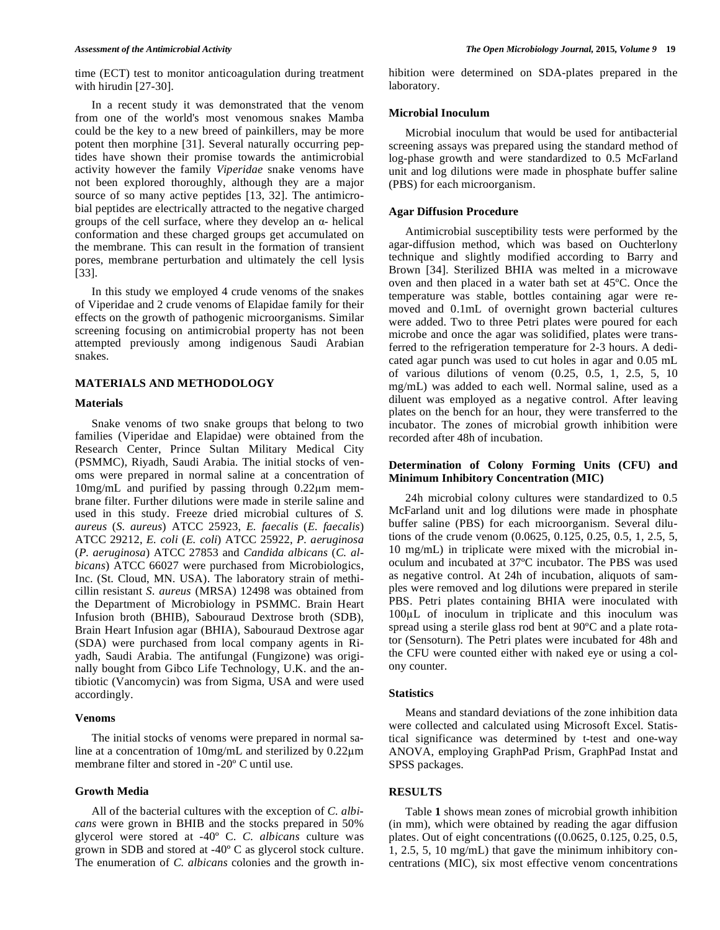time (ECT) test to monitor anticoagulation during treatment with hirudin [27-30].

In a recent study it was demonstrated that the venom from one of the world's most venomous snakes Mamba could be the key to a new breed of painkillers, may be more potent then morphine [31]. Several naturally occurring peptides have shown their promise towards the antimicrobial activity however the family *Viperidae* snake venoms have not been explored thoroughly, although they are a major source of so many active peptides [13, 32]. The antimicrobial peptides are electrically attracted to the negative charged groups of the cell surface, where they develop an  $\alpha$ - helical conformation and these charged groups get accumulated on the membrane. This can result in the formation of transient pores, membrane perturbation and ultimately the cell lysis [33].

In this study we employed 4 crude venoms of the snakes of Viperidae and 2 crude venoms of Elapidae family for their effects on the growth of pathogenic microorganisms. Similar screening focusing on antimicrobial property has not been attempted previously among indigenous Saudi Arabian snakes.

### **MATERIALS AND METHODOLOGY**

#### **Materials**

Snake venoms of two snake groups that belong to two families (Viperidae and Elapidae) were obtained from the Research Center, Prince Sultan Military Medical City (PSMMC), Riyadh, Saudi Arabia. The initial stocks of venoms were prepared in normal saline at a concentration of  $10$ mg/mL and purified by passing through  $0.22 \mu m$  membrane filter. Further dilutions were made in sterile saline and used in this study. Freeze dried microbial cultures of *S. aureus* (*S. aureus*) ATCC 25923, *E. faecalis* (*E. faecalis*) ATCC 29212, *E. coli* (*E. coli*) ATCC 25922, *P. aeruginosa* (*P. aeruginosa*) ATCC 27853 and *Candida albicans* (*C. albicans*) ATCC 66027 were purchased from Microbiologics, Inc. (St. Cloud, MN. USA). The laboratory strain of methicillin resistant *S. aureus* (MRSA) 12498 was obtained from the Department of Microbiology in PSMMC. Brain Heart Infusion broth (BHIB), Sabouraud Dextrose broth (SDB), Brain Heart Infusion agar (BHIA), Sabouraud Dextrose agar (SDA) were purchased from local company agents in Riyadh, Saudi Arabia. The antifungal (Fungizone) was originally bought from Gibco Life Technology, U.K. and the antibiotic (Vancomycin) was from Sigma, USA and were used accordingly.

#### **Venoms**

The initial stocks of venoms were prepared in normal saline at a concentration of  $10$ mg/mL and sterilized by  $0.22 \mu$ m membrane filter and stored in -20º C until use.

# **Growth Media**

All of the bacterial cultures with the exception of *C. albicans* were grown in BHIB and the stocks prepared in 50% glycerol were stored at -40º C. *C. albicans* culture was grown in SDB and stored at -40º C as glycerol stock culture. The enumeration of *C. albicans* colonies and the growth inhibition were determined on SDA-plates prepared in the laboratory.

#### **Microbial Inoculum**

Microbial inoculum that would be used for antibacterial screening assays was prepared using the standard method of log-phase growth and were standardized to 0.5 McFarland unit and log dilutions were made in phosphate buffer saline (PBS) for each microorganism.

# **Agar Diffusion Procedure**

Antimicrobial susceptibility tests were performed by the agar-diffusion method, which was based on Ouchterlony technique and slightly modified according to Barry and Brown [34]. Sterilized BHIA was melted in a microwave oven and then placed in a water bath set at 45ºC. Once the temperature was stable, bottles containing agar were removed and 0.1mL of overnight grown bacterial cultures were added. Two to three Petri plates were poured for each microbe and once the agar was solidified, plates were transferred to the refrigeration temperature for 2-3 hours. A dedicated agar punch was used to cut holes in agar and 0.05 mL of various dilutions of venom (0.25, 0.5, 1, 2.5, 5, 10 mg/mL) was added to each well. Normal saline, used as a diluent was employed as a negative control. After leaving plates on the bench for an hour, they were transferred to the incubator. The zones of microbial growth inhibition were recorded after 48h of incubation.

# **Determination of Colony Forming Units (CFU) and Minimum Inhibitory Concentration (MIC)**

24h microbial colony cultures were standardized to 0.5 McFarland unit and log dilutions were made in phosphate buffer saline (PBS) for each microorganism. Several dilutions of the crude venom (0.0625, 0.125, 0.25, 0.5, 1, 2.5, 5, 10 mg/mL) in triplicate were mixed with the microbial inoculum and incubated at 37ºC incubator. The PBS was used as negative control. At 24h of incubation, aliquots of samples were removed and log dilutions were prepared in sterile PBS. Petri plates containing BHIA were inoculated with 100µL of inoculum in triplicate and this inoculum was spread using a sterile glass rod bent at 90ºC and a plate rotator (Sensoturn). The Petri plates were incubated for 48h and the CFU were counted either with naked eye or using a colony counter.

### **Statistics**

Means and standard deviations of the zone inhibition data were collected and calculated using Microsoft Excel. Statistical significance was determined by t-test and one-way ANOVA, employing GraphPad Prism, GraphPad Instat and SPSS packages.

#### **RESULTS**

Table **1** shows mean zones of microbial growth inhibition (in mm), which were obtained by reading the agar diffusion plates. Out of eight concentrations ((0.0625, 0.125, 0.25, 0.5, 1, 2.5, 5, 10 mg/mL) that gave the minimum inhibitory concentrations (MIC), six most effective venom concentrations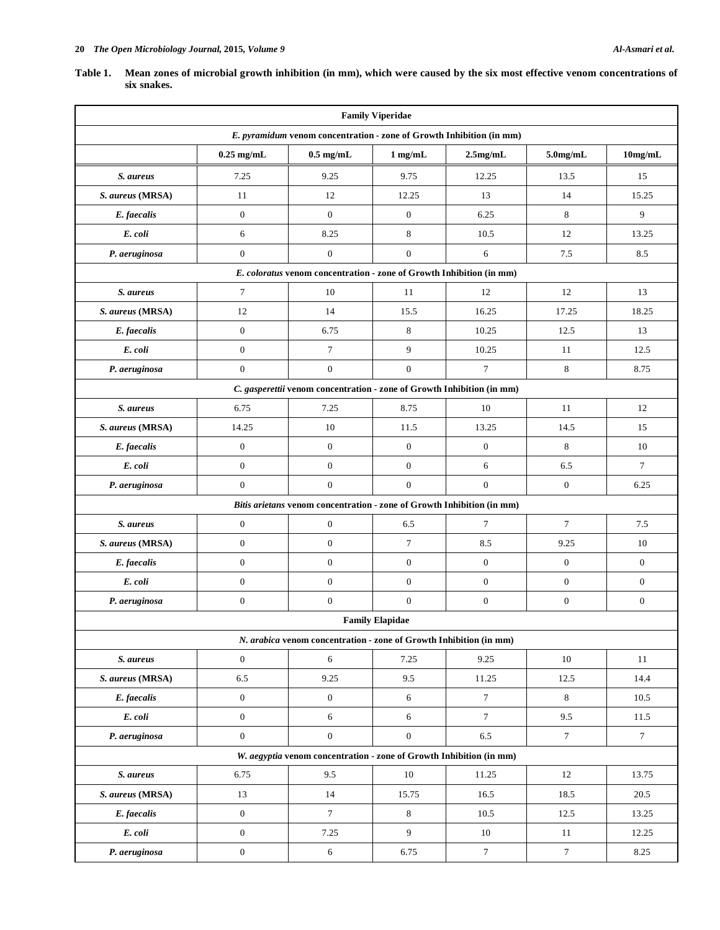| Table 1. | Mean zones of microbial growth inhibition (in mm), which were caused by the six most effective venom concentrations of |
|----------|------------------------------------------------------------------------------------------------------------------------|
|          | six snakes.                                                                                                            |

| <b>Family Viperidae</b>                                                |                                                                      |                                                                        |                        |                  |                  |                  |
|------------------------------------------------------------------------|----------------------------------------------------------------------|------------------------------------------------------------------------|------------------------|------------------|------------------|------------------|
|                                                                        | E. pyramidum venom concentration - zone of Growth Inhibition (in mm) |                                                                        |                        |                  |                  |                  |
|                                                                        | $0.25$ mg/mL                                                         | $0.5$ mg/mL                                                            | $1$ mg/mL              | $2.5$ mg/mL      | $5.0$ mg/mL      | $10$ mg/mL       |
| S. aureus                                                              | 7.25                                                                 | 9.25                                                                   | 9.75                   | 12.25            | 13.5             | 15               |
| S. aureus (MRSA)                                                       | 11                                                                   | 12                                                                     | 12.25                  | 13               | 14               | 15.25            |
| E. faecalis                                                            | $\mathbf{0}$                                                         | $\Omega$                                                               | $\mathbf{0}$           | 6.25             | 8                | 9                |
| E. coli                                                                | 6                                                                    | 8.25                                                                   | 8                      | 10.5             | 12               | 13.25            |
| P. aeruginosa                                                          | $\overline{0}$                                                       | $\mathbf{0}$                                                           | $\mathbf{0}$           | 6                | 7.5              | 8.5              |
|                                                                        |                                                                      | E. coloratus venom concentration - zone of Growth Inhibition (in mm)   |                        |                  |                  |                  |
| S. aureus                                                              | $\tau$                                                               | 10                                                                     | 11                     | 12               | 12               | 13               |
| S. aureus (MRSA)                                                       | 12                                                                   | 14                                                                     | 15.5                   | 16.25            | 17.25            | 18.25            |
| E. faecalis                                                            | $\mathbf{0}$                                                         | 6.75                                                                   | 8                      | 10.25            | 12.5             | 13               |
| E. coli                                                                | $\mathbf{0}$                                                         | 7                                                                      | 9                      | 10.25            | 11               | 12.5             |
| P. aeruginosa                                                          | $\mathbf{0}$                                                         | $\mathbf{0}$                                                           | $\mathbf{0}$           | $\overline{7}$   | 8                | 8.75             |
| C. gasperettii venom concentration - zone of Growth Inhibition (in mm) |                                                                      |                                                                        |                        |                  |                  |                  |
| S. aureus                                                              | 6.75                                                                 | 7.25                                                                   | 8.75                   | 10               | 11               | 12               |
| S. aureus (MRSA)                                                       | 14.25                                                                | 10                                                                     | 11.5                   | 13.25            | 14.5             | 15               |
| E. faecalis                                                            | $\mathbf{0}$                                                         | $\mathbf{0}$                                                           | $\boldsymbol{0}$       | $\boldsymbol{0}$ | 8                | 10               |
| E. coli                                                                | $\mathbf{0}$                                                         | $\boldsymbol{0}$                                                       | $\mathbf{0}$           | 6                | 6.5              | $\tau$           |
| P. aeruginosa                                                          | $\overline{0}$                                                       | $\boldsymbol{0}$                                                       | $\boldsymbol{0}$       | $\boldsymbol{0}$ | $\boldsymbol{0}$ | 6.25             |
|                                                                        |                                                                      | Bitis arietans venom concentration - zone of Growth Inhibition (in mm) |                        |                  |                  |                  |
| S. aureus                                                              | $\mathbf{0}$                                                         | $\mathbf{0}$                                                           | 6.5                    | 7                | $\tau$           | 7.5              |
| S. aureus (MRSA)                                                       | $\boldsymbol{0}$                                                     | $\boldsymbol{0}$                                                       | $\tau$                 | 8.5              | 9.25             | 10               |
| E. faecalis                                                            | $\mathbf{0}$                                                         | $\boldsymbol{0}$                                                       | $\mathbf{0}$           | $\mathbf{0}$     | $\mathbf{0}$     | $\mathbf{0}$     |
| E. coli                                                                | $\mathbf{0}$                                                         | $\boldsymbol{0}$                                                       | $\boldsymbol{0}$       | $\boldsymbol{0}$ | $\boldsymbol{0}$ | $\mathbf{0}$     |
| P. aeruginosa                                                          | $\mathbf{0}$                                                         | $\boldsymbol{0}$                                                       | $\mathbf{0}$           | $\mathbf{0}$     | $\mathbf{0}$     | $\mathbf{0}$     |
|                                                                        |                                                                      |                                                                        | <b>Family Elapidae</b> |                  |                  |                  |
|                                                                        |                                                                      | N. arabica venom concentration - zone of Growth Inhibition (in mm)     |                        |                  |                  |                  |
| S. aureus                                                              | $\boldsymbol{0}$                                                     | 6                                                                      | 7.25                   | 9.25             | $10\,$           | $11\,$           |
| S. aureus (MRSA)                                                       | 6.5                                                                  | 9.25                                                                   | 9.5                    | 11.25            | 12.5             | 14.4             |
| E. faecalis                                                            | $\boldsymbol{0}$                                                     | $\boldsymbol{0}$                                                       | 6                      | $\tau$           | 8                | 10.5             |
| E. coli                                                                | $\boldsymbol{0}$                                                     | 6                                                                      | 6                      | $\tau$           | 9.5              | 11.5             |
| P. aeruginosa                                                          | $\overline{0}$                                                       | $\boldsymbol{0}$                                                       | $\boldsymbol{0}$       | 6.5              | $\boldsymbol{7}$ | $\boldsymbol{7}$ |
| W. aegyptia venom concentration - zone of Growth Inhibition (in mm)    |                                                                      |                                                                        |                        |                  |                  |                  |
| S. aureus                                                              | 6.75                                                                 | 9.5                                                                    | $10\,$                 | 11.25            | 12               | 13.75            |
| S. aureus (MRSA)                                                       | 13                                                                   | 14                                                                     | 15.75                  | 16.5             | 18.5             | 20.5             |
| E. faecalis                                                            | $\boldsymbol{0}$                                                     | 7                                                                      | $\,8\,$                | 10.5             | 12.5             | 13.25            |
| E. coli                                                                | $\boldsymbol{0}$                                                     | 7.25                                                                   | $\overline{9}$         | $10\,$           | 11               | 12.25            |
| P. aeruginosa                                                          | $\boldsymbol{0}$                                                     | $\sqrt{6}$                                                             | 6.75                   | $\tau$           | $7\phantom{.0}$  | 8.25             |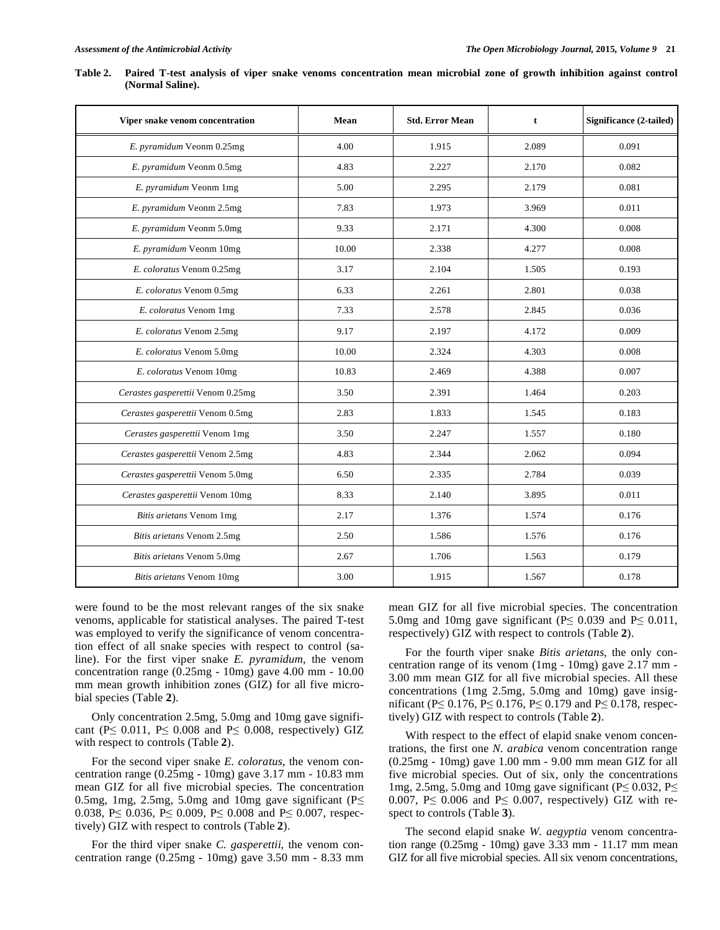| Viper snake venom concentration   | Mean  | <b>Std. Error Mean</b> | t     | Significance (2-tailed) |
|-----------------------------------|-------|------------------------|-------|-------------------------|
| E. pyramidum Veonm 0.25mg         | 4.00  | 1.915                  | 2.089 | 0.091                   |
| E. pyramidum Veonm 0.5mg          | 4.83  | 2.227                  | 2.170 | 0.082                   |
| E. pyramidum Veonm 1mg            | 5.00  | 2.295                  | 2.179 | 0.081                   |
| E. pyramidum Veonm 2.5mg          | 7.83  | 1.973                  | 3.969 | 0.011                   |
| E. pyramidum Veonm 5.0mg          | 9.33  | 2.171                  | 4.300 | 0.008                   |
| E. pyramidum Veonm 10mg           | 10.00 | 2.338                  | 4.277 | 0.008                   |
| E. coloratus Venom 0.25mg         | 3.17  | 2.104                  | 1.505 | 0.193                   |
| E. coloratus Venom 0.5mg          | 6.33  | 2.261                  | 2.801 | 0.038                   |
| E. coloratus Venom 1mg            | 7.33  | 2.578                  | 2.845 | 0.036                   |
| E. coloratus Venom 2.5mg          | 9.17  | 2.197                  | 4.172 | 0.009                   |
| E. coloratus Venom 5.0mg          | 10.00 | 2.324                  | 4.303 | 0.008                   |
| E. coloratus Venom 10mg           | 10.83 | 2.469                  | 4.388 | 0.007                   |
| Cerastes gasperettii Venom 0.25mg | 3.50  | 2.391                  | 1.464 | 0.203                   |
| Cerastes gasperettii Venom 0.5mg  | 2.83  | 1.833                  | 1.545 | 0.183                   |
| Cerastes gasperettii Venom 1mg    | 3.50  | 2.247                  | 1.557 | 0.180                   |
| Cerastes gasperettii Venom 2.5mg  | 4.83  | 2.344                  | 2.062 | 0.094                   |
| Cerastes gasperettii Venom 5.0mg  | 6.50  | 2.335                  | 2.784 | 0.039                   |
| Cerastes gasperettii Venom 10mg   | 8.33  | 2.140                  | 3.895 | 0.011                   |
| Bitis arietans Venom 1mg          | 2.17  | 1.376                  | 1.574 | 0.176                   |
| Bitis arietans Venom 2.5mg        | 2.50  | 1.586                  | 1.576 | 0.176                   |
| Bitis arietans Venom 5.0mg        | 2.67  | 1.706                  | 1.563 | 0.179                   |
| Bitis arietans Venom 10mg         | 3.00  | 1.915                  | 1.567 | 0.178                   |

**Table 2. Paired T-test analysis of viper snake venoms concentration mean microbial zone of growth inhibition against control (Normal Saline).** 

were found to be the most relevant ranges of the six snake venoms, applicable for statistical analyses. The paired T-test was employed to verify the significance of venom concentration effect of all snake species with respect to control (saline). For the first viper snake *E. pyramidum*, the venom concentration range (0.25mg - 10mg) gave 4.00 mm - 10.00 mm mean growth inhibition zones (GIZ) for all five microbial species (Table **2**).

Only concentration 2.5mg, 5.0mg and 10mg gave significant (P $\leq$  0.011, P $\leq$  0.008 and P $\leq$  0.008, respectively) GIZ with respect to controls (Table **2**).

For the second viper snake *E. coloratus*, the venom concentration range (0.25mg - 10mg) gave 3.17 mm - 10.83 mm mean GIZ for all five microbial species. The concentration 0.5mg, 1mg, 2.5mg, 5.0mg and 10mg gave significant ( $P \leq$ 0.038, P 
s 0.036, P  $\leq$  0.009, P  $\leq$  0.008 and P  $\leq$  0.007, respectively) GIZ with respect to controls (Table **2**).

For the third viper snake *C. gasperettii*, the venom concentration range (0.25mg - 10mg) gave 3.50 mm - 8.33 mm mean GIZ for all five microbial species. The concentration 5.0mg and 10mg gave significant ( $P \le 0.039$  and  $P \le 0.011$ , respectively) GIZ with respect to controls (Table **2**).

For the fourth viper snake *Bitis arietans*, the only concentration range of its venom (1mg - 10mg) gave 2.17 mm - 3.00 mm mean GIZ for all five microbial species. All these concentrations (1mg 2.5mg, 5.0mg and 10mg) gave insignificant (P $\leq$  0.176, P $\leq$  0.176, P $\leq$  0.179 and P $\leq$  0.178, respectively) GIZ with respect to controls (Table **2**).

With respect to the effect of elapid snake venom concentrations, the first one *N. arabica* venom concentration range (0.25mg - 10mg) gave 1.00 mm - 9.00 mm mean GIZ for all five microbial species. Out of six, only the concentrations 1mg, 2.5mg, 5.0mg and 10mg gave significant ( $P \le 0.032$ ,  $P \le$ 0.007,  $P \le 0.006$  and  $P \le 0.007$ , respectively) GIZ with respect to controls (Table **3**).

The second elapid snake *W. aegyptia* venom concentration range (0.25mg - 10mg) gave 3.33 mm - 11.17 mm mean GIZ for all five microbial species. All six venom concentrations,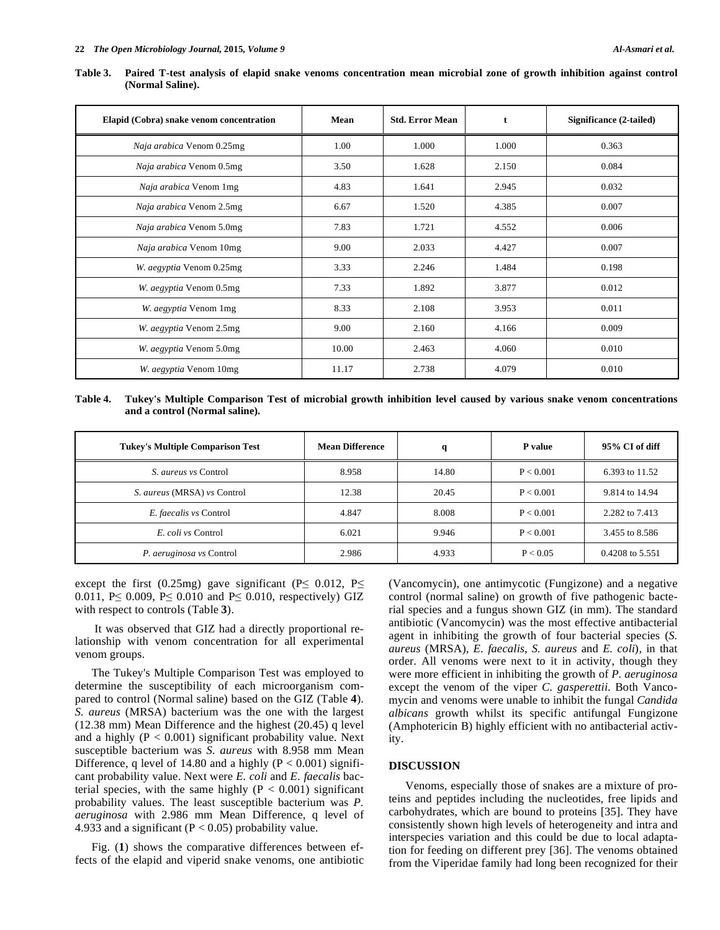| Elapid (Cobra) snake venom concentration | Mean  | <b>Std. Error Mean</b> | t     | Significance (2-tailed) |
|------------------------------------------|-------|------------------------|-------|-------------------------|
| Naja arabica Venom 0.25mg                | 1.00  | 1.000                  | 1.000 | 0.363                   |
| Naja arabica Venom 0.5mg                 | 3.50  | 1.628                  | 2.150 | 0.084                   |
| Naja arabica Venom 1mg                   | 4.83  | 1.641                  | 2.945 | 0.032                   |
| Naja arabica Venom 2.5mg                 | 6.67  | 1.520                  | 4.385 | 0.007                   |
| Naja arabica Venom 5.0mg                 | 7.83  | 1.721                  | 4.552 | 0.006                   |
| Naja arabica Venom 10mg                  | 9.00  | 2.033                  | 4.427 | 0.007                   |
| W. <i>aegyptia</i> Venom 0.25mg          | 3.33  | 2.246                  | 1.484 | 0.198                   |
| W. <i>aegyptia</i> Venom 0.5mg           | 7.33  | 1.892                  | 3.877 | 0.012                   |
| W. <i>aegyptia</i> Venom 1mg             | 8.33  | 2.108                  | 3.953 | 0.011                   |
| W. <i>aegyptia</i> Venom 2.5mg           | 9.00  | 2.160                  | 4.166 | 0.009                   |
| W. <i>aegyptia</i> Venom 5.0mg           | 10.00 | 2.463                  | 4.060 | 0.010                   |
| W. <i>aegyptia</i> Venom 10mg            | 11.17 | 2.738                  | 4.079 | 0.010                   |

**Table 3. Paired T-test analysis of elapid snake venoms concentration mean microbial zone of growth inhibition against control (Normal Saline).** 

**Table 4. Tukey's Multiple Comparison Test of microbial growth inhibition level caused by various snake venom concentrations and a control (Normal saline).** 

| <b>Tukey's Multiple Comparison Test</b> | <b>Mean Difference</b> | q     | <b>P</b> value | 95% CI of diff  |
|-----------------------------------------|------------------------|-------|----------------|-----------------|
| <i>S. aureus vs</i> Control             | 8.958                  | 14.80 | P < 0.001      | 6.393 to 11.52  |
| S. aureus (MRSA) vs Control             | 12.38                  | 20.45 | P < 0.001      | 9.814 to 14.94  |
| E. faecalis vs Control                  | 4.847                  | 8.008 | P < 0.001      | 2.282 to 7.413  |
| E. coli vs Control                      | 6.021                  | 9.946 | P < 0.001      | 3.455 to 8.586  |
| P. aeruginosa vs Control                | 2.986                  | 4.933 | P < 0.05       | 0.4208 to 5.551 |

except the first (0.25mg) gave significant ( $P \le 0.012$ ,  $P \le$ 0.011, P $\leq$  0.009, P $\leq$  0.010 and P $\leq$  0.010, respectively) GIZ with respect to controls (Table **3**).

 It was observed that GIZ had a directly proportional relationship with venom concentration for all experimental venom groups.

The Tukey's Multiple Comparison Test was employed to determine the susceptibility of each microorganism compared to control (Normal saline) based on the GIZ (Table **4**). *S. aureus* (MRSA) bacterium was the one with the largest (12.38 mm) Mean Difference and the highest (20.45) q level and a highly  $(P < 0.001)$  significant probability value. Next susceptible bacterium was *S. aureus* with 8.958 mm Mean Difference, q level of 14.80 and a highly  $(P < 0.001)$  significant probability value. Next were *E. coli* and *E. faecalis* bacterial species, with the same highly  $(P < 0.001)$  significant probability values. The least susceptible bacterium was *P. aeruginosa* with 2.986 mm Mean Difference, q level of 4.933 and a significant ( $P < 0.05$ ) probability value.

Fig. (**1**) shows the comparative differences between effects of the elapid and viperid snake venoms, one antibiotic (Vancomycin), one antimycotic (Fungizone) and a negative control (normal saline) on growth of five pathogenic bacterial species and a fungus shown GIZ (in mm). The standard antibiotic (Vancomycin) was the most effective antibacterial agent in inhibiting the growth of four bacterial species (*S. aureus* (MRSA), *E. faecalis*, *S. aureus* and *E. coli*), in that order. All venoms were next to it in activity, though they were more efficient in inhibiting the growth of *P. aeruginosa*  except the venom of the viper *C. gasperettii*. Both Vancomycin and venoms were unable to inhibit the fungal *Candida albicans* growth whilst its specific antifungal Fungizone (Amphotericin B) highly efficient with no antibacterial activity.

#### **DISCUSSION**

Venoms, especially those of snakes are a mixture of proteins and peptides including the nucleotides, free lipids and carbohydrates, which are bound to proteins [35]. They have consistently shown high levels of heterogeneity and intra and interspecies variation and this could be due to local adaptation for feeding on different prey [36]. The venoms obtained from the Viperidae family had long been recognized for their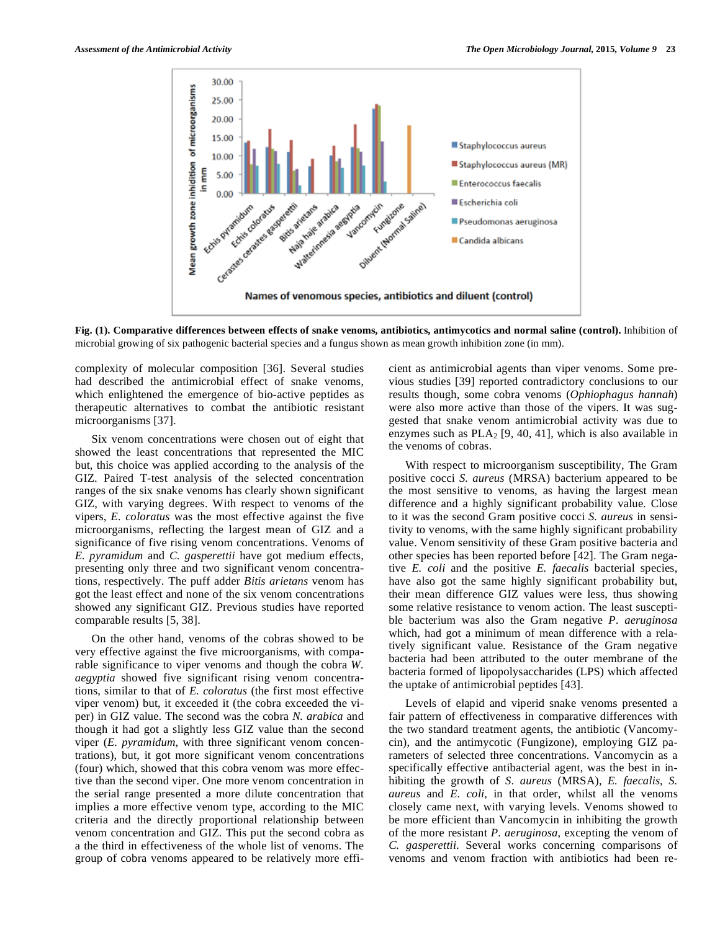

**Fig. (1). Comparative differences between effects of snake venoms, antibiotics, antimycotics and normal saline (control).** Inhibition of microbial growing of six pathogenic bacterial species and a fungus shown as mean growth inhibition zone (in mm).

complexity of molecular composition [36]. Several studies had described the antimicrobial effect of snake venoms, which enlightened the emergence of bio-active peptides as therapeutic alternatives to combat the antibiotic resistant microorganisms [37].

Six venom concentrations were chosen out of eight that showed the least concentrations that represented the MIC but, this choice was applied according to the analysis of the GIZ. Paired T-test analysis of the selected concentration ranges of the six snake venoms has clearly shown significant GIZ, with varying degrees. With respect to venoms of the vipers, *E. coloratus* was the most effective against the five microorganisms, reflecting the largest mean of GIZ and a significance of five rising venom concentrations. Venoms of *E. pyramidum* and *C. gasperettii* have got medium effects, presenting only three and two significant venom concentrations, respectively. The puff adder *Bitis arietans* venom has got the least effect and none of the six venom concentrations showed any significant GIZ. Previous studies have reported comparable results [5, 38].

On the other hand, venoms of the cobras showed to be very effective against the five microorganisms, with comparable significance to viper venoms and though the cobra *W. aegyptia* showed five significant rising venom concentrations, similar to that of *E. coloratus* (the first most effective viper venom) but, it exceeded it (the cobra exceeded the viper) in GIZ value. The second was the cobra *N. arabica* and though it had got a slightly less GIZ value than the second viper (*E. pyramidum*, with three significant venom concentrations), but, it got more significant venom concentrations (four) which, showed that this cobra venom was more effective than the second viper. One more venom concentration in the serial range presented a more dilute concentration that implies a more effective venom type, according to the MIC criteria and the directly proportional relationship between venom concentration and GIZ. This put the second cobra as a the third in effectiveness of the whole list of venoms. The group of cobra venoms appeared to be relatively more efficient as antimicrobial agents than viper venoms. Some previous studies [39] reported contradictory conclusions to our results though, some cobra venoms (*Ophiophagus hannah*) were also more active than those of the vipers. It was suggested that snake venom antimicrobial activity was due to enzymes such as  $PLA_2$  [9, 40, 41], which is also available in the venoms of cobras.

With respect to microorganism susceptibility, The Gram positive cocci *S. aureus* (MRSA) bacterium appeared to be the most sensitive to venoms, as having the largest mean difference and a highly significant probability value. Close to it was the second Gram positive cocci *S. aureus* in sensitivity to venoms, with the same highly significant probability value. Venom sensitivity of these Gram positive bacteria and other species has been reported before [42]. The Gram negative *E. coli* and the positive *E. faecalis* bacterial species, have also got the same highly significant probability but, their mean difference GIZ values were less, thus showing some relative resistance to venom action. The least susceptible bacterium was also the Gram negative *P. aeruginosa* which, had got a minimum of mean difference with a relatively significant value. Resistance of the Gram negative bacteria had been attributed to the outer membrane of the bacteria formed of lipopolysaccharides (LPS) which affected the uptake of antimicrobial peptides [43].

Levels of elapid and viperid snake venoms presented a fair pattern of effectiveness in comparative differences with the two standard treatment agents, the antibiotic (Vancomycin), and the antimycotic (Fungizone), employing GIZ parameters of selected three concentrations. Vancomycin as a specifically effective antibacterial agent, was the best in inhibiting the growth of *S. aureus* (MRSA), *E. faecalis*, *S. aureus* and *E. coli*, in that order, whilst all the venoms closely came next, with varying levels. Venoms showed to be more efficient than Vancomycin in inhibiting the growth of the more resistant *P. aeruginosa*, excepting the venom of *C. gasperettii*. Several works concerning comparisons of venoms and venom fraction with antibiotics had been re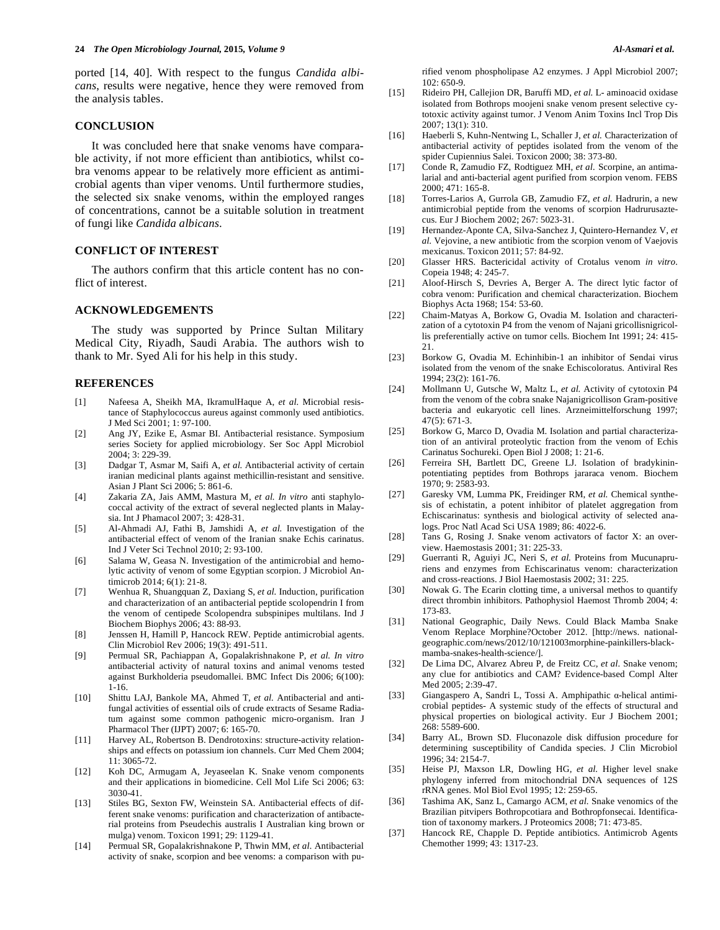ported [14, 40]. With respect to the fungus *Candida albicans*, results were negative, hence they were removed from the analysis tables.

#### **CONCLUSION**

It was concluded here that snake venoms have comparable activity, if not more efficient than antibiotics, whilst cobra venoms appear to be relatively more efficient as antimicrobial agents than viper venoms. Until furthermore studies, the selected six snake venoms, within the employed ranges of concentrations, cannot be a suitable solution in treatment of fungi like *Candida albicans*.

#### **CONFLICT OF INTEREST**

The authors confirm that this article content has no conflict of interest.

# **ACKNOWLEDGEMENTS**

The study was supported by Prince Sultan Military Medical City, Riyadh, Saudi Arabia. The authors wish to thank to Mr. Syed Ali for his help in this study.

# **REFERENCES**

- [1] Nafeesa A, Sheikh MA, IkramulHaque A, *et al.* Microbial resistance of Staphylococcus aureus against commonly used antibiotics. J Med Sci 2001; 1: 97-100.
- [2] Ang JY, Ezike E, Asmar BI. Antibacterial resistance. Symposium series Society for applied microbiology. Ser Soc Appl Microbiol 2004; 3: 229-39.
- [3] Dadgar T, Asmar M, Saifi A, *et al.* Antibacterial activity of certain iranian medicinal plants against methicillin-resistant and sensitive. Asian J Plant Sci 2006; 5: 861-6.
- [4] Zakaria ZA, Jais AMM, Mastura M, *et al. In vitro* anti staphylococcal activity of the extract of several neglected plants in Malaysia. Int J Phamacol 2007; 3: 428-31.
- [5] Al-Ahmadi AJ, Fathi B, Jamshidi A, *et al.* Investigation of the antibacterial effect of venom of the Iranian snake Echis carinatus. Ind J Veter Sci Technol 2010; 2: 93-100.
- [6] Salama W, Geasa N. Investigation of the antimicrobial and hemolytic activity of venom of some Egyptian scorpion. J Microbiol Antimicrob 2014; 6(1): 21-8.
- [7] Wenhua R, Shuangquan Z, Daxiang S, *et al.* Induction, purification and characterization of an antibacterial peptide scolopendrin I from the venom of centipede Scolopendra subspinipes multilans. Ind J Biochem Biophys 2006; 43: 88-93.
- [8] Jenssen H, Hamill P, Hancock REW. Peptide antimicrobial agents. Clin Microbiol Rev 2006; 19(3): 491-511.
- [9] Permual SR, Pachiappan A, Gopalakrishnakone P, *et al. In vitro* antibacterial activity of natural toxins and animal venoms tested against Burkholderia pseudomallei. BMC Infect Dis 2006; 6(100): 1-16.
- [10] Shittu LAJ, Bankole MA, Ahmed T, *et al.* Antibacterial and antifungal activities of essential oils of crude extracts of Sesame Radiatum against some common pathogenic micro-organism. Iran J Pharmacol Ther (IJPT) 2007; 6: 165-70.
- [11] Harvey AL, Robertson B. Dendrotoxins: structure-activity relationships and effects on potassium ion channels. Curr Med Chem 2004; 11: 3065-72.
- [12] Koh DC, Armugam A, Jeyaseelan K. Snake venom components and their applications in biomedicine. Cell Mol Life Sci 2006; 63: 3030-41.
- [13] Stiles BG, Sexton FW, Weinstein SA. Antibacterial effects of different snake venoms: purification and characterization of antibacterial proteins from Pseudechis australis I Australian king brown or mulga) venom. Toxicon 1991; 29: 1129-41.
- [14] Permual SR, Gopalakrishnakone P, Thwin MM, *et al.* Antibacterial activity of snake, scorpion and bee venoms: a comparison with pu-

rified venom phospholipase A2 enzymes. J Appl Microbiol 2007; 102: 650-9.

- [15] Rideiro PH, Callejion DR, Baruffi MD, *et al.* L- aminoacid oxidase isolated from Bothrops moojeni snake venom present selective cytotoxic activity against tumor. J Venom Anim Toxins Incl Trop Dis 2007; 13(1): 310.
- [16] Haeberli S, Kuhn-Nentwing L, Schaller J, *et al.* Characterization of antibacterial activity of peptides isolated from the venom of the spider Cupiennius Salei. Toxicon 2000; 38: 373-80.
- [17] Conde R, Zamudio FZ, Rodtiguez MH, *et al.* Scorpine, an antimalarial and anti-bacterial agent purified from scorpion venom. FEBS 2000; 471: 165-8.
- [18] Torres-Larios A, Gurrola GB, Zamudio FZ, *et al.* Hadrurin, a new antimicrobial peptide from the venoms of scorpion Hadrurusaztecus. Eur J Biochem 2002; 267: 5023-31.
- [19] Hernandez-Aponte CA, Silva-Sanchez J, Quintero-Hernandez V, *et al.* Vejovine, a new antibiotic from the scorpion venom of Vaejovis mexicanus. Toxicon 2011; 57: 84-92.
- [20] Glasser HRS. Bactericidal activity of Crotalus venom *in vitro*. Copeia 1948; 4: 245-7.
- [21] Aloof-Hirsch S, Devries A, Berger A. The direct lytic factor of cobra venom: Purification and chemical characterization. Biochem Biophys Acta 1968; 154: 53-60.
- [22] Chaim-Matyas A, Borkow G, Ovadia M. Isolation and characterization of a cytotoxin P4 from the venom of Najani gricollisnigricollis preferentially active on tumor cells. Biochem Int 1991; 24: 415- 21.
- [23] Borkow G, Ovadia M. Echinhibin-1 an inhibitor of Sendai virus isolated from the venom of the snake Echiscoloratus. Antiviral Res 1994; 23(2): 161-76.
- [24] Mollmann U, Gutsche W, Maltz L, *et al.* Activity of cytotoxin P4 from the venom of the cobra snake Najanigricollison Gram-positive bacteria and eukaryotic cell lines. Arzneimittelforschung 1997; 47(5): 671-3.
- [25] Borkow G, Marco D, Ovadia M. Isolation and partial characterization of an antiviral proteolytic fraction from the venom of Echis Carinatus Sochureki. Open Biol J 2008; 1: 21-6.
- [26] Ferreira SH, Bartlett DC, Greene LJ. Isolation of bradykininpotentiating peptides from Bothrops jararaca venom. Biochem 1970; 9: 2583-93.
- [27] Garesky VM, Lumma PK, Freidinger RM, *et al.* Chemical synthesis of echistatin, a potent inhibitor of platelet aggregation from Echiscarinatus: synthesis and biological activity of selected analogs. Proc Natl Acad Sci USA 1989; 86: 4022-6.
- [28] Tans G, Rosing J. Snake venom activators of factor X: an overview. Haemostasis 2001; 31: 225-33.
- [29] Guerranti R, Aguiyi JC, Neri S, *et al.* Proteins from Mucunapruriens and enzymes from Echiscarinatus venom: characterization and cross-reactions. J Biol Haemostasis 2002; 31: 225.
- [30] Nowak G. The Ecarin clotting time, a universal methos to quantify direct thrombin inhibitors. Pathophysiol Haemost Thromb 2004; 4: 173-83.
- [31] National Geographic, Daily News. Could Black Mamba Snake Venom Replace Morphine?October 2012. [http://news. nationalgeographic.com/news/2012/10/121003morphine-painkillers-blackmamba-snakes-health-science/].
- [32] De Lima DC, Alvarez Abreu P, de Freitz CC, *et al.* Snake venom; any clue for antibiotics and CAM? Evidence-based Compl Alter Med 2005; 2:39-47.
- [33] Giangaspero A, Sandri L, Tossi A. Amphipathic  $\alpha$ -helical antimicrobial peptides- A systemic study of the effects of structural and physical properties on biological activity. Eur J Biochem 2001; 268: 5589-600.
- [34] Barry AL, Brown SD. Fluconazole disk diffusion procedure for determining susceptibility of Candida species. J Clin Microbiol 1996; 34: 2154-7.
- [35] Heise PJ, Maxson LR, Dowling HG, *et al.* Higher level snake phylogeny inferred from mitochondrial DNA sequences of 12S rRNA genes. Mol Biol Evol 1995; 12: 259-65.
- [36] Tashima AK, Sanz L, Camargo ACM, *et al.* Snake venomics of the Brazilian pitvipers Bothropcotiara and Bothropfonsecai. Identification of taxonomy markers. J Proteomics 2008; 71: 473-85.
- [37] Hancock RE, Chapple D. Peptide antibiotics. Antimicrob Agents Chemother 1999; 43: 1317-23.